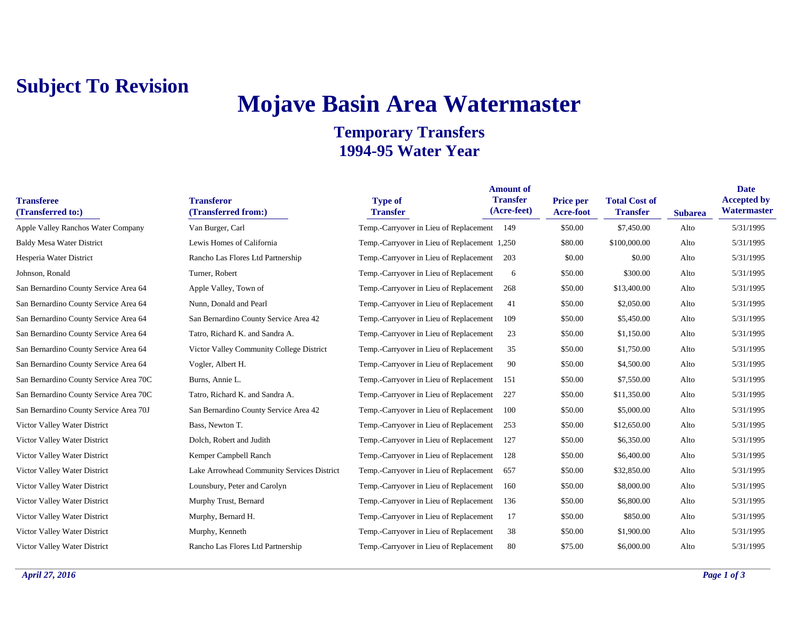## **Subject To Revision**

# **Mojave Basin Area Watermaster**

### **Temporary Transfers 1994-95 Water Year**

| <b>Transferee</b><br>(Transferred to:) | <b>Transferor</b><br>(Transferred from:)   | <b>Type of</b><br><b>Transfer</b>            | <b>Amount of</b><br><b>Transfer</b><br>(Acre-feet) | Price per<br><b>Acre-foot</b> | <b>Total Cost of</b><br><b>Transfer</b> | <b>Subarea</b> | <b>Date</b><br><b>Accepted by</b><br>Watermaster |
|----------------------------------------|--------------------------------------------|----------------------------------------------|----------------------------------------------------|-------------------------------|-----------------------------------------|----------------|--------------------------------------------------|
| Apple Valley Ranchos Water Company     | Van Burger, Carl                           | Temp.-Carryover in Lieu of Replacement 149   |                                                    | \$50.00                       | \$7,450.00                              | Alto           | 5/31/1995                                        |
| <b>Baldy Mesa Water District</b>       | Lewis Homes of California                  | Temp.-Carryover in Lieu of Replacement 1,250 |                                                    | \$80.00                       | \$100,000.00                            | Alto           | 5/31/1995                                        |
| Hesperia Water District                | Rancho Las Flores Ltd Partnership          | Temp.-Carryover in Lieu of Replacement       | 203                                                | \$0.00                        | \$0.00                                  | Alto           | 5/31/1995                                        |
| Johnson, Ronald                        | Turner, Robert                             | Temp.-Carryover in Lieu of Replacement       | 6                                                  | \$50.00                       | \$300.00                                | Alto           | 5/31/1995                                        |
| San Bernardino County Service Area 64  | Apple Valley, Town of                      | Temp.-Carryover in Lieu of Replacement       | 268                                                | \$50.00                       | \$13,400.00                             | Alto           | 5/31/1995                                        |
| San Bernardino County Service Area 64  | Nunn, Donald and Pearl                     | Temp.-Carryover in Lieu of Replacement       | 41                                                 | \$50.00                       | \$2,050.00                              | Alto           | 5/31/1995                                        |
| San Bernardino County Service Area 64  | San Bernardino County Service Area 42      | Temp.-Carryover in Lieu of Replacement       | 109                                                | \$50.00                       | \$5,450.00                              | Alto           | 5/31/1995                                        |
| San Bernardino County Service Area 64  | Tatro, Richard K. and Sandra A.            | Temp.-Carryover in Lieu of Replacement       | 23                                                 | \$50.00                       | \$1,150.00                              | Alto           | 5/31/1995                                        |
| San Bernardino County Service Area 64  | Victor Valley Community College District   | Temp.-Carryover in Lieu of Replacement       | 35                                                 | \$50.00                       | \$1,750.00                              | Alto           | 5/31/1995                                        |
| San Bernardino County Service Area 64  | Vogler, Albert H.                          | Temp.-Carryover in Lieu of Replacement       | 90                                                 | \$50.00                       | \$4,500.00                              | Alto           | 5/31/1995                                        |
| San Bernardino County Service Area 70C | Burns, Annie L.                            | Temp.-Carryover in Lieu of Replacement       | 151                                                | \$50.00                       | \$7,550.00                              | Alto           | 5/31/1995                                        |
| San Bernardino County Service Area 70C | Tatro, Richard K. and Sandra A.            | Temp.-Carryover in Lieu of Replacement       | 227                                                | \$50.00                       | \$11,350.00                             | Alto           | 5/31/1995                                        |
| San Bernardino County Service Area 70J | San Bernardino County Service Area 42      | Temp.-Carryover in Lieu of Replacement       | 100                                                | \$50.00                       | \$5,000.00                              | Alto           | 5/31/1995                                        |
| Victor Valley Water District           | Bass, Newton T.                            | Temp.-Carryover in Lieu of Replacement       | 253                                                | \$50.00                       | \$12,650.00                             | Alto           | 5/31/1995                                        |
| Victor Valley Water District           | Dolch, Robert and Judith                   | Temp.-Carryover in Lieu of Replacement       | 127                                                | \$50.00                       | \$6,350.00                              | Alto           | 5/31/1995                                        |
| Victor Valley Water District           | Kemper Campbell Ranch                      | Temp.-Carryover in Lieu of Replacement       | 128                                                | \$50.00                       | \$6,400.00                              | Alto           | 5/31/1995                                        |
| Victor Valley Water District           | Lake Arrowhead Community Services District | Temp.-Carryover in Lieu of Replacement       | 657                                                | \$50.00                       | \$32,850.00                             | Alto           | 5/31/1995                                        |
| Victor Valley Water District           | Lounsbury, Peter and Carolyn               | Temp.-Carryover in Lieu of Replacement       | 160                                                | \$50.00                       | \$8,000.00                              | Alto           | 5/31/1995                                        |
| Victor Valley Water District           | Murphy Trust, Bernard                      | Temp.-Carryover in Lieu of Replacement       | 136                                                | \$50.00                       | \$6,800.00                              | Alto           | 5/31/1995                                        |
| Victor Valley Water District           | Murphy, Bernard H.                         | Temp.-Carryover in Lieu of Replacement       | 17                                                 | \$50.00                       | \$850.00                                | Alto           | 5/31/1995                                        |
| Victor Valley Water District           | Murphy, Kenneth                            | Temp.-Carryover in Lieu of Replacement       | 38                                                 | \$50.00                       | \$1,900.00                              | Alto           | 5/31/1995                                        |
| Victor Valley Water District           | Rancho Las Flores Ltd Partnership          | Temp.-Carryover in Lieu of Replacement       | 80                                                 | \$75.00                       | \$6,000.00                              | Alto           | 5/31/1995                                        |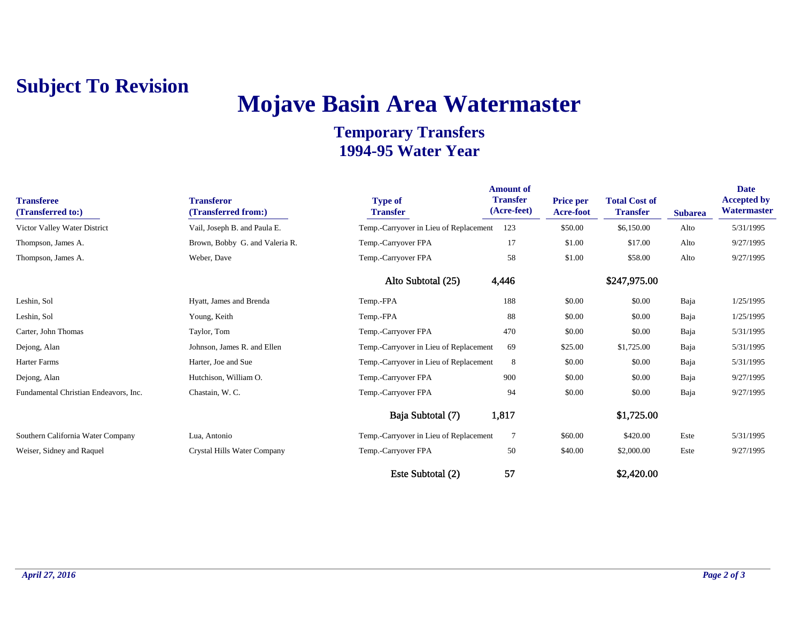### **Subject To Revision**

# **Mojave Basin Area Watermaster**

### **Temporary Transfers 1994-95 Water Year**

| <b>Transferee</b><br>(Transferred to:) | <b>Transferor</b><br>(Transferred from:) | <b>Type of</b><br><b>Transfer</b>      | <b>Amount</b> of<br><b>Transfer</b><br>(Acre-feet) | Price per<br>Acre-foot | <b>Total Cost of</b><br><b>Transfer</b> | <b>Subarea</b> | <b>Date</b><br><b>Accepted by</b><br>Watermaster |
|----------------------------------------|------------------------------------------|----------------------------------------|----------------------------------------------------|------------------------|-----------------------------------------|----------------|--------------------------------------------------|
| Victor Valley Water District           | Vail, Joseph B. and Paula E.             | Temp.-Carryover in Lieu of Replacement | 123                                                | \$50.00                | \$6,150.00                              | Alto           | 5/31/1995                                        |
| Thompson, James A.                     | Brown, Bobby G. and Valeria R.           | Temp.-Carryover FPA                    | 17                                                 | \$1.00                 | \$17.00                                 | Alto           | 9/27/1995                                        |
| Thompson, James A.                     | Weber, Dave                              | Temp.-Carryover FPA                    | 58                                                 | \$1.00                 | \$58.00                                 | Alto           | 9/27/1995                                        |
|                                        |                                          | Alto Subtotal (25)                     | 4,446                                              |                        | \$247,975.00                            |                |                                                  |
| Leshin, Sol                            | Hyatt, James and Brenda                  | Temp.-FPA                              | 188                                                | \$0.00                 | \$0.00                                  | Baja           | 1/25/1995                                        |
| Leshin, Sol                            | Young, Keith                             | Temp.-FPA                              | 88                                                 | \$0.00                 | \$0.00                                  | Baja           | 1/25/1995                                        |
| Carter, John Thomas                    | Taylor, Tom                              | Temp.-Carryover FPA                    | 470                                                | \$0.00                 | \$0.00                                  | Baja           | 5/31/1995                                        |
| Dejong, Alan                           | Johnson, James R. and Ellen              | Temp.-Carryover in Lieu of Replacement | 69                                                 | \$25.00                | \$1,725.00                              | Baja           | 5/31/1995                                        |
| Harter Farms                           | Harter, Joe and Sue                      | Temp.-Carryover in Lieu of Replacement | 8                                                  | \$0.00                 | \$0.00                                  | Baja           | 5/31/1995                                        |
| Dejong, Alan                           | Hutchison, William O.                    | Temp.-Carryover FPA                    | 900                                                | \$0.00                 | \$0.00                                  | Baja           | 9/27/1995                                        |
| Fundamental Christian Endeavors, Inc.  | Chastain, W. C.                          | Temp.-Carryover FPA                    | 94                                                 | \$0.00                 | \$0.00                                  | Baja           | 9/27/1995                                        |
|                                        |                                          | Baja Subtotal (7)                      | 1,817                                              |                        | \$1,725.00                              |                |                                                  |
| Southern California Water Company      | Lua, Antonio                             | Temp.-Carryover in Lieu of Replacement | $\overline{7}$                                     | \$60.00                | \$420.00                                | Este           | 5/31/1995                                        |
| Weiser, Sidney and Raquel              | Crystal Hills Water Company              | Temp.-Carryover FPA                    | 50                                                 | \$40.00                | \$2,000.00                              | Este           | 9/27/1995                                        |
|                                        |                                          | Este Subtotal (2)                      | 57                                                 |                        | \$2,420.00                              |                |                                                  |